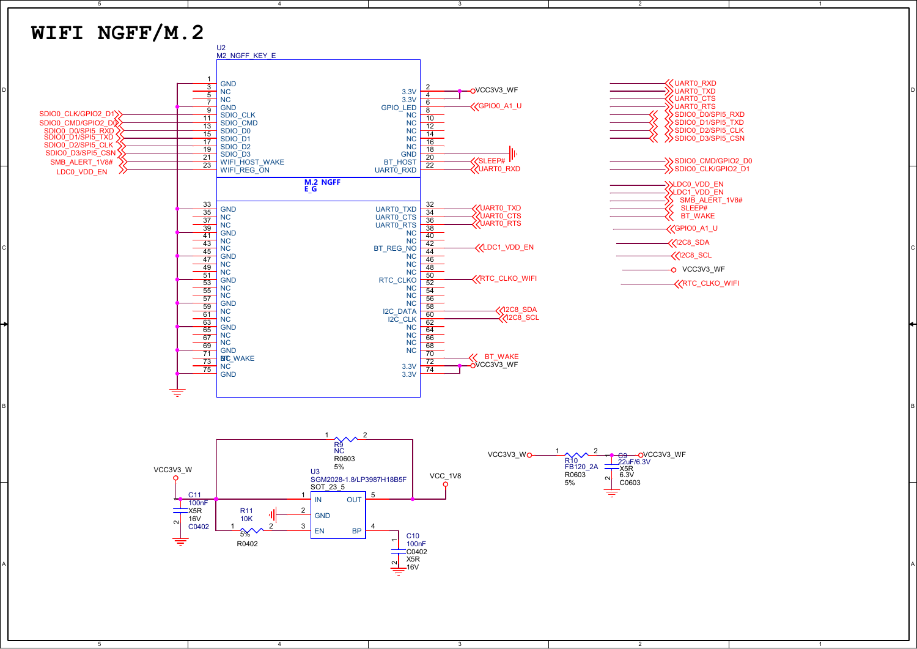